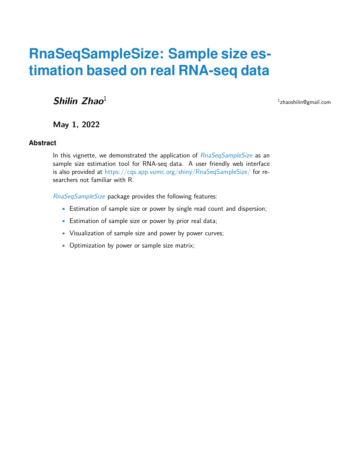# **RnaSeqSampleSize: Sample size estimation based on real RNA-seq data**

**Shilin Zhao**<sup>1</sup>

1 zhaoshilin@gmail.com

**May 1, 2022**

#### **Abstract**

In this vignette, we demonstrated the application of [RnaSeqSampleSize](http://bioconductor.org/packages/RnaSeqSampleSize) as an sample size estimation tool for RNA-seq data. A user friendly web interface is also provided at <https://cqs.app.vumc.org/shiny/RnaSeqSampleSize/> for researchers not familiar with R.

[RnaSeqSampleSize](http://bioconductor.org/packages/RnaSeqSampleSize) package provides the following features:

- Estimation of sample size or power by single read count and dispersion;
- Estimation of sample size or power by prior real data;
- Visualization of sample size and power by power curves;
- Optimization by power or sample size matrix;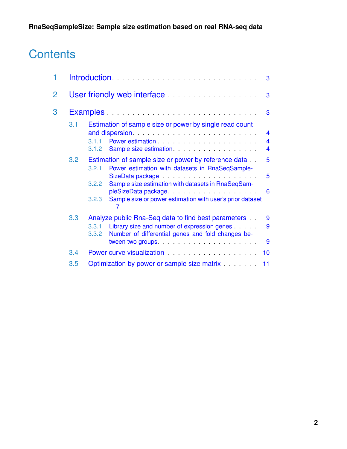# **Contents**

| 1 | 3          |                                                                                                                                                                                                                                                                                                                                                                                                                                                                                                                                                                                                                                                                             |  |  |  |  |  |  |  |  |
|---|------------|-----------------------------------------------------------------------------------------------------------------------------------------------------------------------------------------------------------------------------------------------------------------------------------------------------------------------------------------------------------------------------------------------------------------------------------------------------------------------------------------------------------------------------------------------------------------------------------------------------------------------------------------------------------------------------|--|--|--|--|--|--|--|--|
| 2 |            | User friendly web interface <b>contained Container and September 2016</b><br>3                                                                                                                                                                                                                                                                                                                                                                                                                                                                                                                                                                                              |  |  |  |  |  |  |  |  |
| 3 |            | Examples<br>3                                                                                                                                                                                                                                                                                                                                                                                                                                                                                                                                                                                                                                                               |  |  |  |  |  |  |  |  |
|   | 3.1<br>3.2 | Estimation of sample size or power by single read count<br>$\overline{\mathbf{4}}$<br>Power estimation entries and the set of the set of the set of the set of the set of the set of the set of the<br>$\overline{\mathbf{4}}$<br>3.1.1<br>4<br>3.1.2<br>5<br>Estimation of sample size or power by reference data<br>Power estimation with datasets in RnaSeqSample-<br>3.2.1<br>5<br>SizeData package entertainment and state and state and state and state and state and state and state and state<br>Sample size estimation with datasets in RnaSeqSam-<br>3.2.2<br>6<br>pleSizeData package<br>Sample size or power estimation with user's prior dataset<br>3.2.3<br>7 |  |  |  |  |  |  |  |  |
|   | 3.3        | Analyze public Rna-Seq data to find best parameters<br>9<br>Library size and number of expression genes<br>9<br>3.3.1<br>Number of differential genes and fold changes be-<br>3.3.2<br>9                                                                                                                                                                                                                                                                                                                                                                                                                                                                                    |  |  |  |  |  |  |  |  |
|   | 3.4        | Power curve visualization entertainment and the power curve with the property of the contract of the contract o<br>10                                                                                                                                                                                                                                                                                                                                                                                                                                                                                                                                                       |  |  |  |  |  |  |  |  |
|   | 3.5        | Optimization by power or sample size matrix<br>11                                                                                                                                                                                                                                                                                                                                                                                                                                                                                                                                                                                                                           |  |  |  |  |  |  |  |  |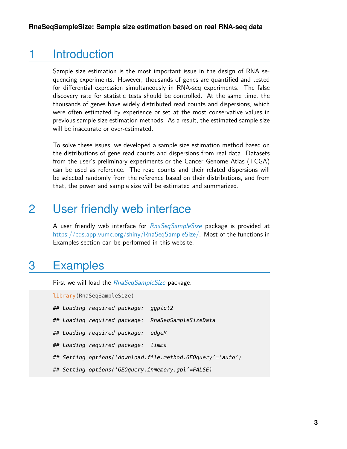## 1 Introduction

<span id="page-2-0"></span>Sample size estimation is the most important issue in the design of RNA sequencing experiments. However, thousands of genes are quantified and tested for differential expression simultaneously in RNA-seq experiments. The false discovery rate for statistic tests should be controlled. At the same time, the thousands of genes have widely distributed read counts and dispersions, which were often estimated by experience or set at the most conservative values in previous sample size estimation methods. As a result, the estimated sample size will be inaccurate or over-estimated.

To solve these issues, we developed a sample size estimation method based on the distributions of gene read counts and dispersions from real data. Datasets from the user's preliminary experiments or the Cancer Genome Atlas (TCGA) can be used as reference. The read counts and their related dispersions will be selected randomly from the reference based on their distributions, and from that, the power and sample size will be estimated and summarized.

# <span id="page-2-1"></span>2 User friendly web interface

<span id="page-2-2"></span>A user friendly web interface for [RnaSeqSampleSize](http://bioconductor.org/packages/RnaSeqSampleSize) package is provided at [https://cqs.app.vumc.org/shiny/RnaSeqSampleSize/.](https://cqs.app.vumc.org/shiny/RnaSeqSampleSize/) Most of the functions in Examples section can be performed in this website.

# 3 Examples

First we will load the [RnaSeqSampleSize](http://bioconductor.org/packages/RnaSeqSampleSize) package.

 $\sqrt{R}$ 

<span id="page-2-3"></span>

| (Library(RnaSeqSampleSize |  |  |                                    |                                                            |  |  |  |  |  |  |  |
|---------------------------|--|--|------------------------------------|------------------------------------------------------------|--|--|--|--|--|--|--|
|                           |  |  | ## Loading required package:       | ggplot2                                                    |  |  |  |  |  |  |  |
|                           |  |  |                                    | ## Loading required package: RnaSeqSampleSizeData          |  |  |  |  |  |  |  |
|                           |  |  | ## Loading required package:       | edaeR                                                      |  |  |  |  |  |  |  |
|                           |  |  | ## Loading required package: limma |                                                            |  |  |  |  |  |  |  |
|                           |  |  |                                    | ## Setting options('download.file.method.GEOquery'='auto') |  |  |  |  |  |  |  |
|                           |  |  |                                    | ## Setting options('GEOquery.inmemory.gpl'=FALSE)          |  |  |  |  |  |  |  |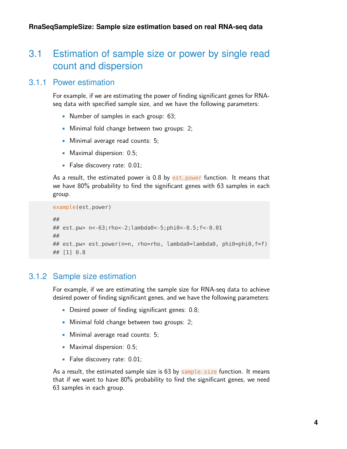## 3.1 Estimation of sample size or power by single read count and dispersion

### 3.1.1 Power estimation

<span id="page-3-0"></span>For example, if we are estimating the power of finding significant genes for RNAseq data with specified sample size, and we have the following parameters:

- Number of samples in each group: 63;
- Minimal fold change between two groups: 2;
- Minimal average read counts: 5;
- Maximal dispersion: 0.5;
- False discovery rate: 0.01;

As a result, the estimated power is  $0.8$  by est\_power function. It means that we have 80% probability to find the significant genes with 63 samples in each group.

```
example(est_power)
##
## est_pw> n<-63;rho<-2;lambda0<-5;phi0<-0.5;f<-0.01
##
## est_pw> est_power(n=n, rho=rho, lambda0=lambda0, phi0=phi0,f=f)
## [1] 0.8
```
### 3.1.2 Sample size estimation

<span id="page-3-1"></span>For example, if we are estimating the sample size for RNA-seq data to achieve desired power of finding significant genes, and we have the following parameters:

- Desired power of finding significant genes: 0.8;
- Minimal fold change between two groups: 2;
- Minimal average read counts: 5;
- Maximal dispersion: 0.5;
- False discovery rate: 0.01;

As a result, the estimated sample size is 63 by sample\_size function. It means that if we want to have 80% probability to find the significant genes, we need 63 samples in each group.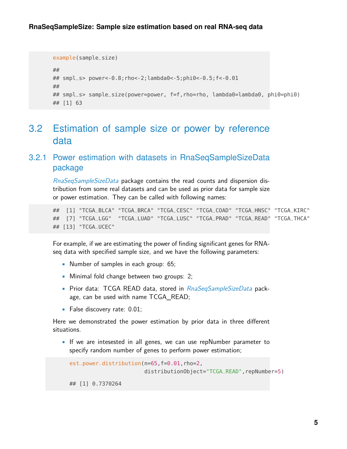```
example(sample_size)
##
## smpl_s> power<-0.8;rho<-2;lambda0<-5;phi0<-0.5;f<-0.01
##
## smpl_s> sample_size(power=power, f=f,rho=rho, lambda0=lambda0, phi0=phi0)
## [1] 63
```
## <span id="page-4-0"></span>3.2 Estimation of sample size or power by reference data

### <span id="page-4-1"></span>3.2.1 Power estimation with datasets in RnaSeqSampleSizeData package

[RnaSeqSampleSizeData](http://bioconductor.org/packages/RnaSeqSampleSizeData) package contains the read counts and dispersion distribution from some real datasets and can be used as prior data for sample size or power estimation. They can be called with following names:

## [1] "TCGA\_BLCA" "TCGA\_BRCA" "TCGA\_CESC" "TCGA\_COAD" "TCGA\_HNSC" "TCGA\_KIRC" ## [7] "TCGA\_LGG" "TCGA\_LUAD" "TCGA\_LUSC" "TCGA\_PRAD" "TCGA\_READ" "TCGA\_THCA" ## [13] "TCGA\_UCEC"

For example, if we are estimating the power of finding significant genes for RNAseq data with specified sample size, and we have the following parameters:

- Number of samples in each group: 65;
- Minimal fold change between two groups: 2;
- Prior data: TCGA READ data, stored in [RnaSeqSampleSizeData](http://bioconductor.org/packages/RnaSeqSampleSizeData) package, can be used with name TCGA\_READ;
- False discovery rate: 0.01;

Here we demonstrated the power estimation by prior data in three different situations.

• If we are intesested in all genes, we can use repNumber parameter to specify random number of genes to perform power estimation;

```
est_power_distribution(n=65,f=0.01,rho=2,
                       distributionObject="TCGA_READ", repNumber=5)
## [1] 0.7370264
```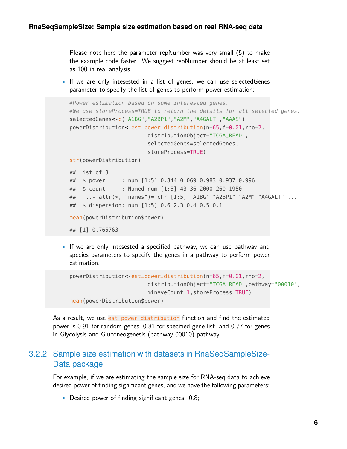Please note here the parameter repNumber was very small (5) to make the example code faster. We suggest repNumber should be at least set as 100 in real analysis.

• If we are only intesested in a list of genes, we can use selectedGenes parameter to specify the list of genes to perform power estimation;

```
#Power estimation based on some interested genes.
#We use storeProcess=TRUE to return the details for all selected genes.
selectedGenes<-c("A1BG","A2BP1","A2M","A4GALT","AAAS")
powerDistribution< est_power_distribution(n=65, f=0.01, rho=2,
                        distributionObject="TCGA_READ",
                        selectedGenes=selectedGenes,
                        storeProcess=TRUE)
str(powerDistribution)
## List of 3
## $ power : num [1:5] 0.844 0.069 0.983 0.937 0.996
## $ count : Named num [1:5] 43 36 2000 260 1950
## ..- attr(*, "names")= chr [1:5] "A1BG" "A2BP1" "A2M" "A4GALT" ...
## $ dispersion: num [1:5] 0.6 2.3 0.4 0.5 0.1
mean(powerDistribution$power)
## [1] 0.765763
```
• If we are only intesested a specified pathway, we can use pathway and species parameters to specify the genes in a pathway to perform power estimation.

```
powerDistribution< est_power_distribution(n=65, f=0.01, rho=2,
                        distributionObject="TCGA_READ",pathway="00010",
                        minAveCount=1,storeProcess=TRUE)
mean(powerDistribution$power)
```
<span id="page-5-0"></span>As a result, we use est\_power\_distribution function and find the estimated power is 0.91 for random genes, 0.81 for specified gene list, and 0.77 for genes in Glycolysis and Gluconeogenesis (pathway 00010) pathway.

### 3.2.2 Sample size estimation with datasets in RnaSeqSampleSize-Data package

For example, if we are estimating the sample size for RNA-seq data to achieve desired power of finding significant genes, and we have the following parameters:

• Desired power of finding significant genes: 0.8;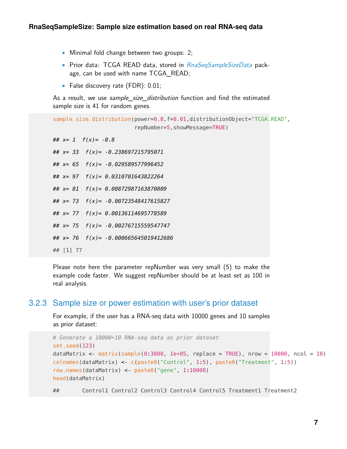- Minimal fold change between two groups: 2;
- Prior data: TCGA READ data, stored in [RnaSeqSampleSizeData](http://bioconductor.org/packages/RnaSeqSampleSizeData) package, can be used with name TCGA\_READ;
- False discovery rate (FDR): 0.01;

As a result, we use sample size distribution function and find the estimated sample size is 41 for random genes.

sample\_size\_distribution(power=0.8,f=0.01,distributionObject="TCGA\_READ", repNumber=5,showMessage=TRUE)

##  $x= 1$   $f(x) = -0.8$ ## x= 33 f(x)= -0.238697215795071 ## x= 65 f(x)= -0.029589577996452 ## x= 97 f(x)= 0.0310701643822264 ## x= 81 f(x)= 0.00872987163870809

## x= 73 f(x)= -0.00723548417615827

## x= 77 f(x)= 0.00136114695778589

 $\#$   $x=$  75  $f(x)$  = -0.00276715559547747

##  $x= 76$   $f(x) = -0.000665645019412686$ 

## [1] 77

<span id="page-6-0"></span>Please note here the parameter repNumber was very small (5) to make the example code faster. We suggest repNumber should be at least set as 100 in real analysis.

#### 3.2.3 Sample size or power estimation with user's prior dataset

For example, if the user has a RNA-seq data with 10000 genes and 10 samples as prior dataset:

```
# Generate a 10000*10 RNA-seq data as prior dataset
set.seed(123)
dataMatrix <- matrix(sample(0.3000, 1e+05, replace = TRUE), nrow = 10000, ncol = 10)
colnames(dataMatrix) <- c(paste0("Control", 1:5), paste0("Treatment", 1:5))
row.names(dataMatrix) <- paste0("gene", 1:10000)
head(dataMatrix)
```
## Control1 Control2 Control3 Control4 Control5 Treatment1 Treatment2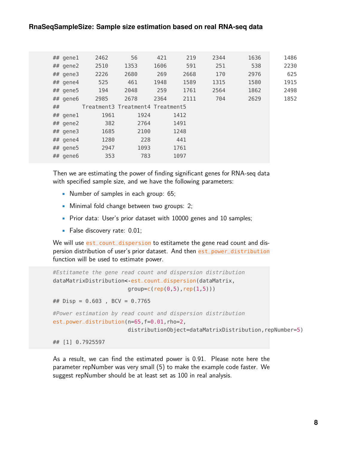#### **RnaSeqSampleSize: Sample size estimation based on real RNA-seq data**

| 2462                              | 56                                                                                                                                       | 421  | 219  | 2344                             | 1636 | 1486 |
|-----------------------------------|------------------------------------------------------------------------------------------------------------------------------------------|------|------|----------------------------------|------|------|
| 2510                              | 1353                                                                                                                                     | 1606 | 591  | 251                              | 538  | 2230 |
| 2226                              | 2680                                                                                                                                     | 269  | 2668 | 170                              | 2976 | 625  |
| 525                               | 461                                                                                                                                      | 1948 | 1589 | 1315                             | 1580 | 1915 |
|                                   | 2048                                                                                                                                     | 259  | 1761 | 2564                             | 1862 | 2498 |
| 2985                              | 2678                                                                                                                                     | 2364 | 2111 | 704                              | 2629 | 1852 |
|                                   |                                                                                                                                          |      |      |                                  |      |      |
| 1961                              | 1924                                                                                                                                     |      | 1412 |                                  |      |      |
| 382                               | 2764                                                                                                                                     |      | 1491 |                                  |      |      |
| 1685                              | 2100                                                                                                                                     |      | 1248 |                                  |      |      |
| 1280                              | 228                                                                                                                                      |      | 441  |                                  |      |      |
| 2947                              | 1093                                                                                                                                     |      | 1761 |                                  |      |      |
| 353                               | 783                                                                                                                                      |      | 1097 |                                  |      |      |
| ## gene1<br>$##$ gene2<br>$\# \#$ | ## gene3<br>$##$ gene4<br>## gene5 194<br>## gene6<br>$##$ genel<br>$\#$ # gene2<br>$##$ gene3<br>$\#$ # gene4<br>$##$ gene5<br>## gene6 |      |      | Treatment3 Treatment4 Treatment5 |      |      |

Then we are estimating the power of finding significant genes for RNA-seq data with specified sample size, and we have the following parameters:

- Number of samples in each group: 65;
- Minimal fold change between two groups: 2;
- Prior data: User's prior dataset with 10000 genes and 10 samples;
- False discovery rate: 0.01;

We will use est\_count\_dispersion to estitamete the gene read count and dispersion distribution of user's prior dataset. And then est\_power\_distribution function will be used to estimate power.

```
#Estitamete the gene read count and dispersion distribution
dataMatrixDistribution< est_count_dispersion(dataMatrix,
                       group=c(rep(0,5),rep(1,5)))## Disp = 0.603 , BCV = 0.7765
#Power estimation by read count and dispersion distribution
est_power_distribution(n=65,f=0.01,rho=2,
                       distributionObject=dataMatrixDistribution, repNumber=5)
## [1] 0.7925597
```
<span id="page-7-0"></span>As a result, we can find the estimated power is 0.91. Please note here the parameter repNumber was very small (5) to make the example code faster. We suggest repNumber should be at least set as 100 in real analysis.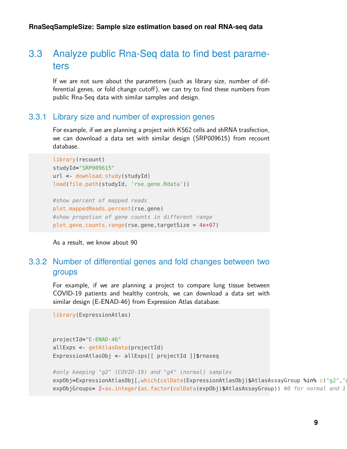## 3.3 Analyze public Rna-Seq data to find best parameters

<span id="page-8-0"></span>If we are not sure about the parameters (such as library size, number of differential genes, or fold change cutoff), we can try to find these numbers from public Rna-Seq data with similar samples and design.

#### 3.3.1 Library size and number of expression genes

For example, if we are planning a project with K562 cells and shRNA trasfection, we can download a data set with similar design (SRP009615) from recount database.

```
library(recount)
studyId="SRP009615"
url <- download_study(studyId)
load(file.path(studyId, 'rse_gene.Rdata'))
```
#show percent of mapped reads plot\_mappedReads\_percent(rse\_gene) #show propotion of gene counts in different range plot\_gene\_counts\_range(rse\_gene,targetSize = 4e+07)

```
As a result, we know about 90
```
### 3.3.2 Number of differential genes and fold changes between two groups

For example, if we are planning a project to compare lung tissue between COVID-19 patients and healthy controls, we can download a data set with similar design (E-ENAD-46) from Expression Atlas database.

library(ExpressionAtlas)

```
projectId="E-ENAD-46"
allExps <- getAtlasData(projectId)
ExpressionAtlasObj <- allExps[[ projectId ]]$rnaseq
#only keeping "g2" (COVID-19) and "g4" (normal) samples
```

```
expObj=ExpressionAtlasObj[,which(colData(ExpressionAtlasObj)$AtlasAssayGroup %in% c("g2","
expObjGroups= 2-as.integer(as.factor(colData(expObj)$AtlasAssayGroup)) #0 for normal and 1
```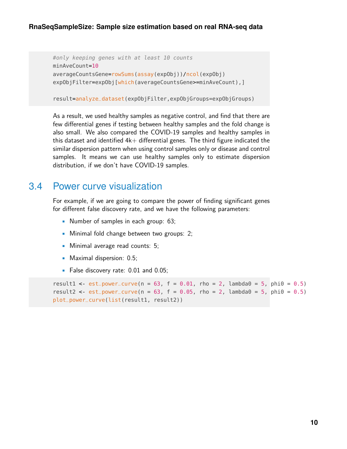#### **RnaSeqSampleSize: Sample size estimation based on real RNA-seq data**

```
#only keeping genes with at least 10 counts
minAveCount=10
averageCountsGene=rowSums(assay(expObj))/ncol(expObj)
expObjFilter=expObj[which(averageCountsGene>=minAveCount),]
```
result=analyze\_dataset(expObjFilter,expObjGroups=expObjGroups)

As a result, we used healthy samples as negative control, and find that there are few differential genes if testing between healthy samples and the fold change is also small. We also compared the COVID-19 samples and healthy samples in this dataset and identified  $4k+$  differential genes. The third figure indicated the similar dispersion pattern when using control samples only or disease and control samples. It means we can use healthy samples only to estimate dispersion distribution, if we don't have COVID-19 samples.

## <span id="page-9-0"></span>3.4 Power curve visualization

For example, if we are going to compare the power of finding significant genes for different false discovery rate, and we have the following parameters:

- Number of samples in each group: 63;
- Minimal fold change between two groups: 2;
- Minimal average read counts: 5;
- Maximal dispersion: 0.5;
- False discovery rate: 0.01 and 0.05;

```
result1 < est_power_curve(n = 63, f = 0.01, rho = 2, lambda0 = 5, phi0 = 0.5)
result2 < est_power_curve(n = 63, f = 0.05, rho = 2, lambda0 = 5, phi0 = 0.5)
plot_power_curve(list(result1, result2))
```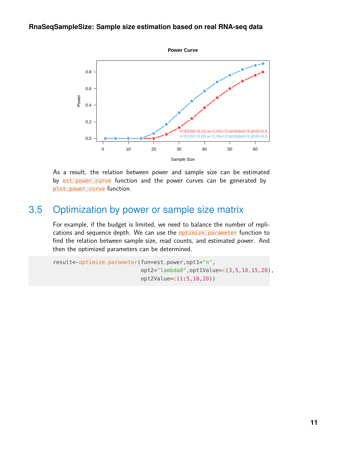#### **RnaSeqSampleSize: Sample size estimation based on real RNA-seq data**



<span id="page-10-0"></span>As a result, the relation between power and sample size can be estimated by est\_power\_curve function and the power curves can be generated by plot\_power\_curve function.

## 3.5 Optimization by power or sample size matrix

For example, if the budget is limited, we need to balance the number of replications and sequence depth. We can use the optimize\_parameter function to find the relation between sample size, read counts, and estimated power. And then the optimized parameters can be determined.

```
result<-optimize_parameter(fun=est_power,opt1="n",
                           opt2="lambda0",opt1Value=c(3,5,10,15,20),
                           opt2Value=c(1:5,10,20))
```